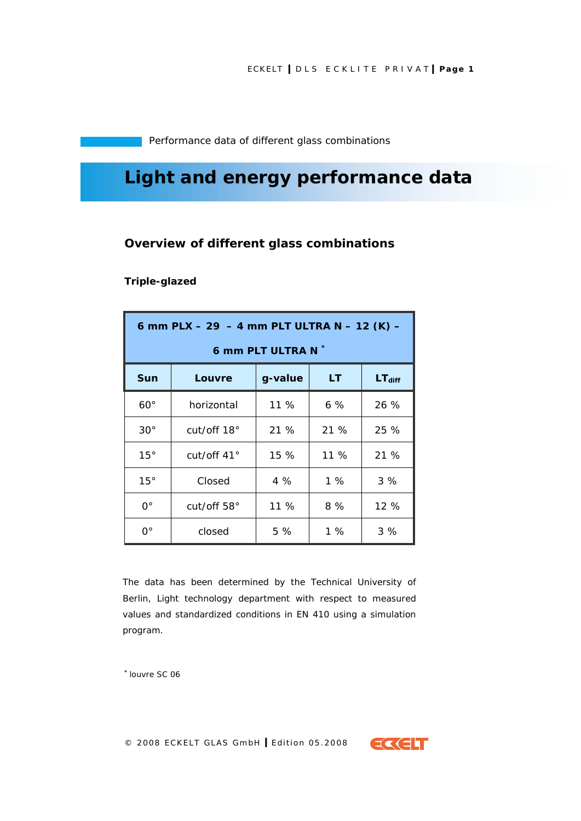Performance data of different glass combinations

# **Light and energy performance data**

# **Overview of different glass combinations**

## **Triple-glazed**

| 6 mm PLX - 29 - 4 mm PLT ULTRA N - 12 (K) - |                    |         |        |                    |  |  |  |
|---------------------------------------------|--------------------|---------|--------|--------------------|--|--|--|
| 6 mm PLT ULTRA N *                          |                    |         |        |                    |  |  |  |
| <b>Sun</b>                                  | Louvre             | g-value | LT     | LT <sub>diff</sub> |  |  |  |
| $60^\circ$                                  | horizontal         | $11\%$  | $6\%$  | 26%                |  |  |  |
| $30^{\circ}$                                | cut/off 18°        | 21 %    | 21 %   | 25 %               |  |  |  |
| 15°                                         | cut/off $41^\circ$ | 15%     | $11\%$ | 21 %               |  |  |  |
| 15°                                         | Closed             | 4%      | 1%     | 3%                 |  |  |  |
| 0°                                          | cut/off 58°        | 11 %    | 8%     | 12%                |  |  |  |
| 0°                                          | closed             | 5 %     | 1%     | 3%                 |  |  |  |

The data has been determined by the Technical University of Berlin, Light technology department with respect to measured values and standardized conditions in EN 410 using a simulation program.

*\* louvre SC 06*

© 2008 ECKELT GLAS GmbH **I** Edition 05.2008

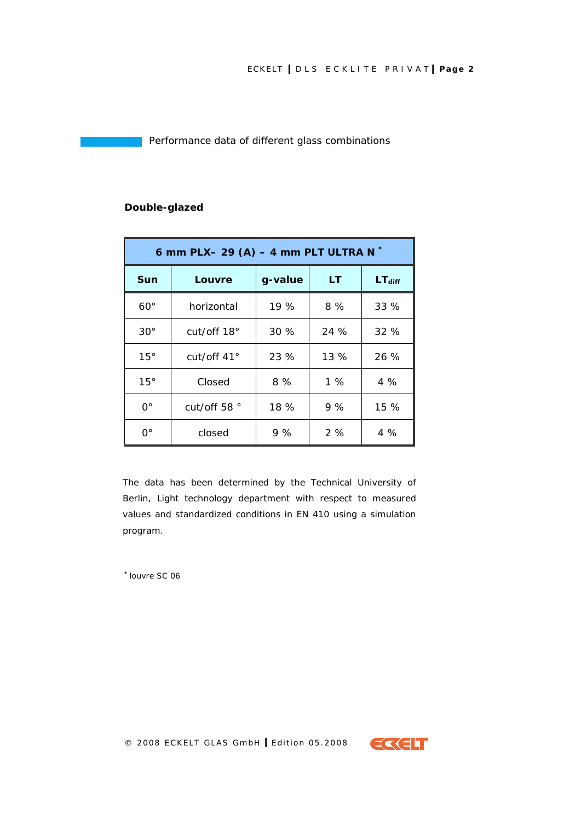Performance data of different glass combinations

| 6 mm PLX- 29 (A) - 4 mm PLT ULTRA N $*$ |                    |         |      |                    |  |  |
|-----------------------------------------|--------------------|---------|------|--------------------|--|--|
| Sun                                     | Louvre             | g-value | LT   | LT <sub>diff</sub> |  |  |
| $60^{\circ}$                            | horizontal         | 19%     | 8%   | 33%                |  |  |
| $30^\circ$                              | cut/off $18^\circ$ | 30%     | 24 % | 32 %               |  |  |
| 15°                                     | cut/off 41°        | 23 %    | 13%  | 26 %               |  |  |
| 15°                                     | Closed             | 8%      | 1%   | 4%                 |  |  |
| $\Omega^{\circ}$                        | cut/off 58 °       | 18 %    | 9%   | 15 %               |  |  |
| ∩°                                      | closed             | 9 %     | 2%   | 4 %                |  |  |

## **Double-glazed**

The data has been determined by the Technical University of Berlin, Light technology department with respect to measured values and standardized conditions in EN 410 using a simulation program.

*\* louvre SC 06*

© 2008 ECKELT GLAS GmbH **I** Edition 05.2008